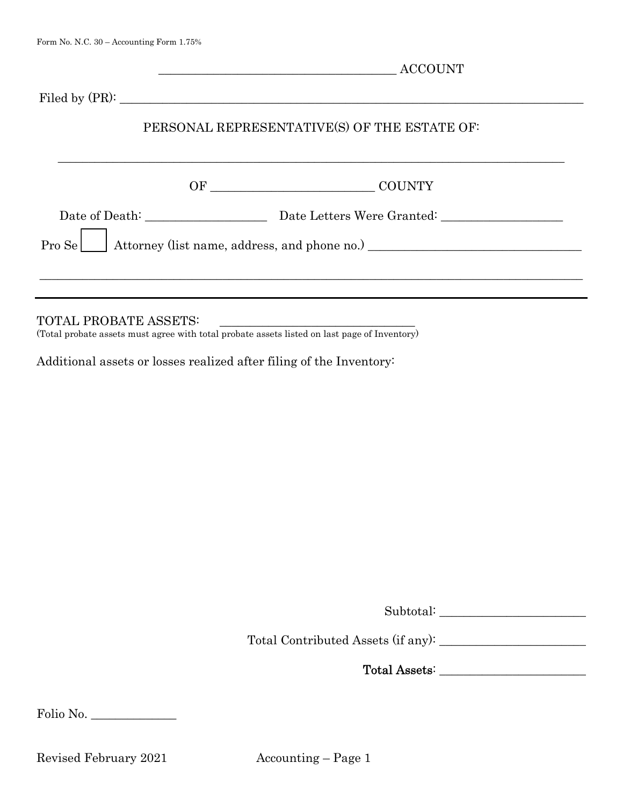Filed by (PR):

## PERSONAL REPRESENTATIVE(S) OF THE ESTATE OF:

| OF | <b>COUNTY</b><br><u> 1980 - Andrea Andrew Maria (h. 1980).</u>                      |
|----|-------------------------------------------------------------------------------------|
|    | Date Letters Were Granted:                                                          |
|    | Pro Se<br>Attorney (list name, address, and phone no.) ____________________________ |
|    |                                                                                     |
|    |                                                                                     |

(Total probate assets must agree with total probate assets listed on last page of Inventory)

Additional assets or losses realized after filing of the Inventory:

Subtotal:

Total Contributed Assets (if any): \_\_\_\_\_\_\_\_\_\_\_\_\_\_\_\_\_\_\_\_\_\_\_\_

Total Assets: \_\_\_\_\_\_\_\_\_\_\_\_\_\_\_\_\_\_\_\_\_\_\_\_

Folio No.

Revised February 2021 Accounting – Page 1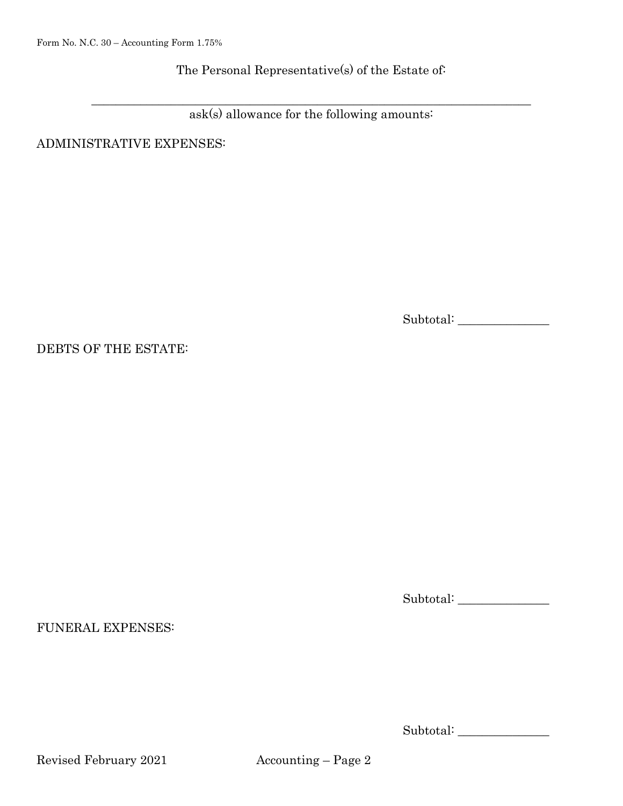The Personal Representative(s) of the Estate of:

 $\_$  , and the set of the set of the set of the set of the set of the set of the set of the set of the set of the set of the set of the set of the set of the set of the set of the set of the set of the set of the set of th ask(s) allowance for the following amounts:

ADMINISTRATIVE EXPENSES:

Subtotal: \_\_\_\_\_\_\_\_\_\_\_\_\_\_\_

DEBTS OF THE ESTATE:

FUNERAL EXPENSES:

Subtotal: \_\_\_\_\_\_\_\_\_\_\_\_\_\_\_

Subtotal: \_\_\_\_\_\_\_\_\_\_\_\_\_\_\_